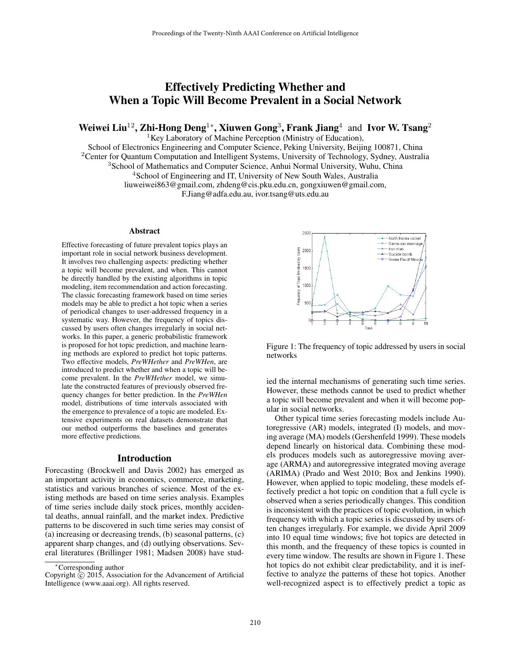# Effectively Predicting Whether and When a Topic Will Become Prevalent in a Social Network

Weiwei Liu<sup>12</sup>, Zhi-Hong Deng<sup>1</sup>\*, Xiuwen Gong<sup>3</sup>, Frank Jiang<sup>4</sup> and Ivor W. Tsang<sup>2</sup>

 ${}^{1}$ Key Laboratory of Machine Perception (Ministry of Education),

School of Electronics Engineering and Computer Science, Peking University, Beijing 100871, China <sup>2</sup>Center for Quantum Computation and Intelligent Systems, University of Technology, Sydney, Australia <sup>3</sup>School of Mathematics and Computer Science, Anhui Normal University, Wuhu, China <sup>4</sup>School of Engineering and IT, University of New South Wales, Australia liuweiwei863@gmail.com, zhdeng@cis.pku.edu.cn, gongxiuwen@gmail.com, F.Jiang@adfa.edu.au, ivor.tsang@uts.edu.au

#### Abstract

Effective forecasting of future prevalent topics plays an important role in social network business development. It involves two challenging aspects: predicting whether a topic will become prevalent, and when. This cannot be directly handled by the existing algorithms in topic modeling, item recommendation and action forecasting. The classic forecasting framework based on time series models may be able to predict a hot topic when a series of periodical changes to user-addressed frequency in a systematic way. However, the frequency of topics discussed by users often changes irregularly in social networks. In this paper, a generic probabilistic framework is proposed for hot topic prediction, and machine learning methods are explored to predict hot topic patterns. Two effective models, *PreWHether* and *PreWHen*, are introduced to predict whether and when a topic will become prevalent. In the *PreWHether* model, we simulate the constructed features of previously observed frequency changes for better prediction. In the *PreWHen* model, distributions of time intervals associated with the emergence to prevalence of a topic are modeled. Extensive experiments on real datasets demonstrate that our method outperforms the baselines and generates more effective predictions.

#### Introduction

Forecasting (Brockwell and Davis 2002) has emerged as an important activity in economics, commerce, marketing, statistics and various branches of science. Most of the existing methods are based on time series analysis. Examples of time series include daily stock prices, monthly accidental deaths, annual rainfall, and the market index. Predictive patterns to be discovered in such time series may consist of (a) increasing or decreasing trends, (b) seasonal patterns, (c) apparent sharp changes, and (d) outlying observations. Several literatures (Brillinger 1981; Madsen 2008) have stud-



Figure 1: The frequency of topic addressed by users in social networks

ied the internal mechanisms of generating such time series. However, these methods cannot be used to predict whether a topic will become prevalent and when it will become popular in social networks.

Other typical time series forecasting models include Autoregressive (AR) models, integrated (I) models, and moving average (MA) models (Gershenfeld 1999). These models depend linearly on historical data. Combining these models produces models such as autoregressive moving average (ARMA) and autoregressive integrated moving average (ARIMA) (Prado and West 2010; Box and Jenkins 1990). However, when applied to topic modeling, these models effectively predict a hot topic on condition that a full cycle is observed when a series periodically changes. This condition is inconsistent with the practices of topic evolution, in which frequency with which a topic series is discussed by users often changes irregularly. For example, we divide April 2009 into 10 equal time windows; five hot topics are detected in this month, and the frequency of these topics is counted in every time window. The results are shown in Figure 1. These hot topics do not exhibit clear predictability, and it is ineffective to analyze the patterns of these hot topics. Another well-recognized aspect is to effectively predict a topic as

<sup>∗</sup>Corresponding author

Copyright  $\overline{c}$  2015, Association for the Advancement of Artificial Intelligence (www.aaai.org). All rights reserved.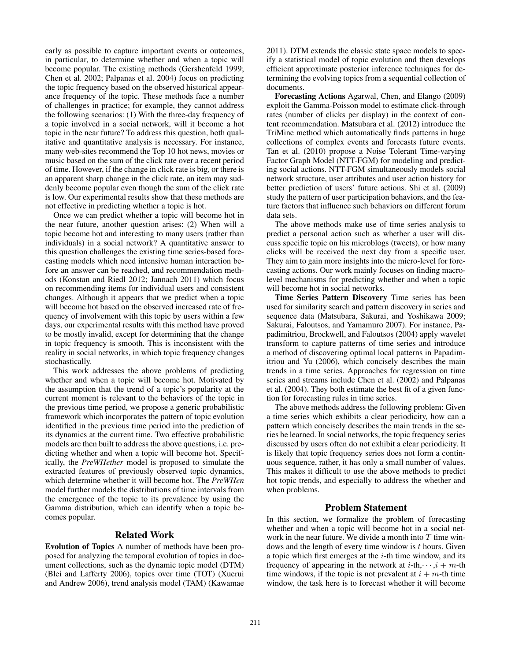early as possible to capture important events or outcomes, in particular, to determine whether and when a topic will become popular. The existing methods (Gershenfeld 1999; Chen et al. 2002; Palpanas et al. 2004) focus on predicting the topic frequency based on the observed historical appearance frequency of the topic. These methods face a number of challenges in practice; for example, they cannot address the following scenarios: (1) With the three-day frequency of a topic involved in a social network, will it become a hot topic in the near future? To address this question, both qualitative and quantitative analysis is necessary. For instance, many web-sites recommend the Top 10 hot news, movies or music based on the sum of the click rate over a recent period of time. However, if the change in click rate is big, or there is an apparent sharp change in the click rate, an item may suddenly become popular even though the sum of the click rate is low. Our experimental results show that these methods are not effective in predicting whether a topic is hot.

Once we can predict whether a topic will become hot in the near future, another question arises: (2) When will a topic become hot and interesting to many users (rather than individuals) in a social network? A quantitative answer to this question challenges the existing time series-based forecasting models which need intensive human interaction before an answer can be reached, and recommendation methods (Konstan and Riedl 2012; Jannach 2011) which focus on recommending items for individual users and consistent changes. Although it appears that we predict when a topic will become hot based on the observed increased rate of frequency of involvement with this topic by users within a few days, our experimental results with this method have proved to be mostly invalid, except for determining that the change in topic frequency is smooth. This is inconsistent with the reality in social networks, in which topic frequency changes stochastically.

This work addresses the above problems of predicting whether and when a topic will become hot. Motivated by the assumption that the trend of a topic's popularity at the current moment is relevant to the behaviors of the topic in the previous time period, we propose a generic probabilistic framework which incorporates the pattern of topic evolution identified in the previous time period into the prediction of its dynamics at the current time. Two effective probabilistic models are then built to address the above questions, i.e. predicting whether and when a topic will become hot. Specifically, the *PreWHether* model is proposed to simulate the extracted features of previously observed topic dynamics, which determine whether it will become hot. The *PreWHen* model further models the distributions of time intervals from the emergence of the topic to its prevalence by using the Gamma distribution, which can identify when a topic becomes popular.

### Related Work

Evolution of Topics A number of methods have been proposed for analyzing the temporal evolution of topics in document collections, such as the dynamic topic model (DTM) (Blei and Lafferty 2006), topics over time (TOT) (Xuerui and Andrew 2006), trend analysis model (TAM) (Kawamae 2011). DTM extends the classic state space models to specify a statistical model of topic evolution and then develops efficient approximate posterior inference techniques for determining the evolving topics from a sequential collection of documents.

Forecasting Actions Agarwal, Chen, and Elango (2009) exploit the Gamma-Poisson model to estimate click-through rates (number of clicks per display) in the context of content recommendation. Matsubara et al. (2012) introduce the TriMine method which automatically finds patterns in huge collections of complex events and forecasts future events. Tan et al. (2010) propose a Noise Tolerant Time-varying Factor Graph Model (NTT-FGM) for modeling and predicting social actions. NTT-FGM simultaneously models social network structure, user attributes and user action history for better prediction of users' future actions. Shi et al. (2009) study the pattern of user participation behaviors, and the feature factors that influence such behaviors on different forum data sets.

The above methods make use of time series analysis to predict a personal action such as whether a user will discuss specific topic on his microblogs (tweets), or how many clicks will be received the next day from a specific user. They aim to gain more insights into the micro-level for forecasting actions. Our work mainly focuses on finding macrolevel mechanisms for predicting whether and when a topic will become hot in social networks.

Time Series Pattern Discovery Time series has been used for similarity search and pattern discovery in series and sequence data (Matsubara, Sakurai, and Yoshikawa 2009; Sakurai, Faloutsos, and Yamamuro 2007). For instance, Papadimitriou, Brockwell, and Faloutsos (2004) apply wavelet transform to capture patterns of time series and introduce a method of discovering optimal local patterns in Papadimitriou and Yu (2006), which concisely describes the main trends in a time series. Approaches for regression on time series and streams include Chen et al. (2002) and Palpanas et al. (2004). They both estimate the best fit of a given function for forecasting rules in time series.

The above methods address the following problem: Given a time series which exhibits a clear periodicity, how can a pattern which concisely describes the main trends in the series be learned. In social networks, the topic frequency series discussed by users often do not exhibit a clear periodicity. It is likely that topic frequency series does not form a continuous sequence, rather, it has only a small number of values. This makes it difficult to use the above methods to predict hot topic trends, and especially to address the whether and when problems.

## Problem Statement

In this section, we formalize the problem of forecasting whether and when a topic will become hot in a social network in the near future. We divide a month into  $T$  time windows and the length of every time window is  $t$  hours. Given a topic which first emerges at the  $i$ -th time window, and its frequency of appearing in the network at  $i$ -th, $\cdots$ , $i + m$ -th time windows, if the topic is not prevalent at  $i + m$ -th time window, the task here is to forecast whether it will become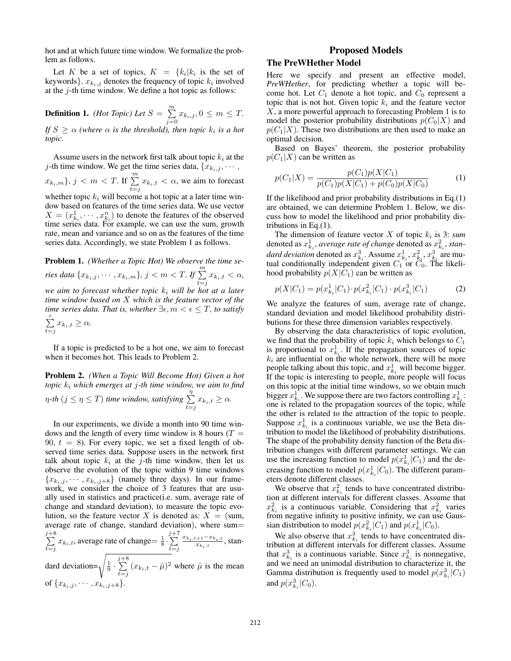hot and at which future time window. We formalize the problem as follows.

Let K be a set of topics,  $K = \{k_i | k_i \text{ is the set of }$ keywords  $\}$ .  $x_{k_i,j}$  denotes the frequency of topic  $k_i$  involved at the  $j$ -th time window. We define a hot topic as follows:

**Definition 1.** *(Hot Topic) Let*  $S = \sum_{i=1}^{m}$  $\sum_{j=0} x_{k_i,j}, 0 \leq m \leq T.$ If  $S \geq \alpha$  (where  $\alpha$  is the threshold), then topic  $k_i$  is a hot *topic.*

Assume users in the network first talk about topic  $k_i$  at the j-th time window. We get the time series data,  ${x_{k_i,j}, \cdots,$  $\{x_{k_i,m}\}, j < m < T.$  If  $\sum_{t=j}^{m} x_{k_i,t} < \alpha$ , we aim to forecast

whether topic  $k_i$  will become a hot topic at a later time window based on features of the time series data. We use vector  $X = (x_{k_i}^1, \dots, x_{k_i}^n)$  to denote the features of the observed time series data. For example, we can use the sum, growth rate, mean and variance and so on as the features of the time series data. Accordingly, we state Problem 1 as follows.

Problem 1. *(Whether a Topic Hot) We observe the time series data*  ${x_{k_i,j}, \cdots, x_{k_i,m}}$ *,*  $j < m < T$ *.* If  $\sum_{t=j}^{m} x_{k_i,t} < \alpha$ *, we aim to forecast whether topic*  $k_i$  *will be hot at a later time window based on* X *which is the feature vector of the time series data. That is, whether*  $\exists \epsilon, m < \epsilon \leq T$ , *to satisfy* 

$$
\sum_{t=j}^{\epsilon} x_{k_i, t} \ge \alpha.
$$

If a topic is predicted to be a hot one, we aim to forecast when it becomes hot. This leads to Problem 2.

Problem 2. *(When a Topic Will Become Hot) Given a hot topic* k<sup>i</sup> *which emerges at* j*-th time window, we aim to find*  $η$ -th ( $j \leq η \leq T$ ) time window, satisfying  $\sum_{n=1}^{n}$  $\sum_{t=j} x_{k_i,t} \geq \alpha.$ 

In our experiments, we divide a month into 90 time windows and the length of every time window is 8 hours ( $T =$ 90,  $t = 8$ ). For every topic, we set a fixed length of observed time series data. Suppose users in the network first talk about topic  $k_i$  at the j-th time window, then let us observe the evolution of the topic within 9 time windows  ${x_{k_i,j}, \dots, x_{k_i,j+8}}$  (namely three days). In our framework, we consider the choice of 3 features that are usually used in statistics and practice(i.e. sum, average rate of change and standard deviation), to measure the topic evolution, so the feature vector X is denoted as:  $X = (sum,$ average rate of change, standard deviation), where sum=  $\sum_{ }^{j+8}$  $\sum_{t=j}^{j+8} x_{k_i,t}$ , average rate of change=  $\frac{1}{8} \cdot \sum_{t=j}^{j+7}$  $t = j$  $\frac{x_{k_i,t+1}-x_{k_i,t}}{x_{k_i,t}}$ , standard deviation= $\sqrt{\frac{1}{9} \cdot \sum_{n=1}^{j+8}}$  $\sum_{t=j} (x_{k_i,t} - \hat{\mu})^2$  where  $\hat{\mu}$  is the mean of  $\{x_{k_i,j}, \cdots, x_{k_i,j+8}\}.$ 

## Proposed Models

#### The PreWHether Model

Here we specify and present an effective model, *PreWHether*, for predicting whether a topic will become hot. Let  $C_1$  denote a hot topic, and  $C_0$  represent a topic that is not hot. Given topic  $k_i$  and the feature vector  $X$ , a more powerful approach to forecasting Problem 1 is to model the posterior probability distributions  $p(C_0|X)$  and  $p(C_1|X)$ . These two distributions are then used to make an optimal decision.

Based on Bayes' theorem, the posterior probability  $p(C_1|X)$  can be written as

$$
p(C_1|X) = \frac{p(C_1)p(X|C_1)}{p(C_1)p(X|C_1) + p(C_0)p(X|C_0)}
$$
(1)

If the likelihood and prior probability distributions in Eq.(1) are obtained, we can determine Problem 1. Below, we discuss how to model the likelihood and prior probability distributions in Eq.(1).

The dimension of feature vector  $X$  of topic  $k_i$  is 3: *sum* denoted as  $x_{k_i}^1$ *, average rate of change* denoted as  $x_{k_i}^2$ *, standard deviation* denoted as  $x_{k_i}^3$ . Assume  $x_{k_i}^1$ ,  $x_{k_i}^2$ ,  $x_{k_i}^3$  are mutual conditionally independent given  $C_1$  or  $C_0$ . The likelihood probability  $p(X|C_1)$  can be written as

$$
p(X|C_1) = p(x_{k_i}^1|C_1) \cdot p(x_{k_i}^2|C_1) \cdot p(x_{k_i}^3|C_1)
$$
 (2)

We analyze the features of sum, average rate of change, standard deviation and model likelihood probability distributions for these three dimension variables respectively.

By observing the data characteristics of topic evolution, we find that the probability of topic  $k_i$  which belongs to  $C_1$ is proportional to  $x_{k_i}^1$ . If the propagation sources of topic  $k_i$  are influential on the whole network, there will be more people talking about this topic, and  $x_{k_i}^1$  will become bigger. If the topic is interesting to people, more people will focus on this topic at the initial time windows, so we obtain much bigger  $x_{k_i}^1$ . We suppose there are two factors controlling  $x_{k_i}^1$ . one is related to the propagation sources of the topic, while the other is related to the attraction of the topic to people. Suppose  $x_{k_i}^1$  is a continuous variable, we use the Beta distribution to model the likelihood of probability distributions. The shape of the probability density function of the Beta distribution changes with different parameter settings. We can use the increasing function to model  $p(x_{k_i}^1|C_1)$  and the decreasing function to model  $p(x_{k_i}^1|C_0)$ . The different parameters denote different classes.

We observe that  $x_{k_i}^2$  tends to have concentrated distribution at different intervals for different classes. Assume that  $x_{k_i}^2$  is a continuous variable. Considering that  $x_{k_i}^2$  varies from negative infinity to positive infinity, we can use Gaussian distribution to model  $p(x_{k_i}^2|C_1)$  and  $p(x_{k_i}^1|C_0)$ .

We also observe that  $x_{k_i}^3$  tends to have concentrated distribution at different intervals for different classes. Assume that  $x_{k_i}^3$  is a continuous variable. Since  $x_{k_i}^3$  is nonnegative, and we need an unimodal distribution to characterize it, the Gamma distribution is frequently used to model  $p(x_{k_i}^3|C_1)$ and  $p(x_{k_i}^3|C_0)$ .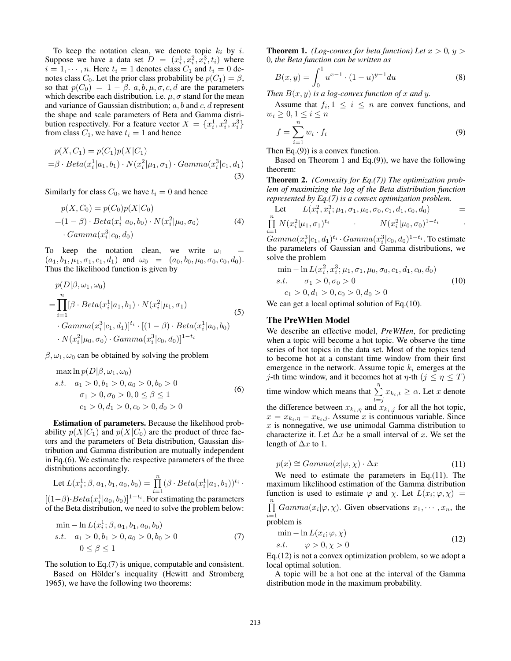To keep the notation clean, we denote topic  $k_i$  by i. Suppose we have a data set  $D = (x_i^1, x_i^2, x_i^3, t_i)$  where  $i = 1, \dots, n$ . Here  $t_i = 1$  denotes class  $C_1$  and  $t_i = 0$  denotes class  $C_0$ . Let the prior class probability be  $p(C_1) = \beta$ , so that  $p(C_0) = 1 - \beta$ . a, b,  $\mu$ ,  $\sigma$ , c, d are the parameters which describe each distribution. i.e.  $\mu$ ,  $\sigma$  stand for the mean and variance of Gaussian distribution;  $a, b$  and  $c, d$  represent the shape and scale parameters of Beta and Gamma distribution respectively. For a feature vector  $X = \{x_i^1, x_i^2, x_i^3\}$ from class  $C_1$ , we have  $t_i = 1$  and hence

$$
p(X, C_1) = p(C_1)p(X|C_1) = \beta \cdot Beta(x_i^1|a_1, b_1) \cdot N(x_i^2|\mu_1, \sigma_1) \cdot Gamma(x_i^3|c_1, d_1)
$$
(3)

Similarly for class  $C_0$ , we have  $t_i = 0$  and hence

$$
p(X, C_0) = p(C_0)p(X|C_0)
$$
  
=  $(1 - \beta) \cdot Beta(x_i^1|a_0, b_0) \cdot N(x_i^2|\mu_0, \sigma_0)$   
 $\cdot Gamma(x_i^3|c_0, d_0)$  (4)

To keep the notation clean, we write  $\omega_1$  $(a_1, b_1, \mu_1, \sigma_1, c_1, d_1)$  and  $\omega_0 = (a_0, b_0, \mu_0, \sigma_0, c_0, d_0)$ . Thus the likelihood function is given by

$$
p(D|\beta, \omega_1, \omega_0)
$$
  
= 
$$
\prod_{i=1}^n [\beta \cdot Beta(x_i^1|a_1, b_1) \cdot N(x_i^2|\mu_1, \sigma_1)
$$
  
 
$$
\cdot Gamma(x_i^3|c_1, d_1)]^{t_i} \cdot [(1 - \beta) \cdot Beta(x_i^1|a_0, b_0)
$$
  
 
$$
\cdot N(x_i^2|\mu_0, \sigma_0) \cdot Gamma(x_i^3|c_0, d_0)]^{1-t_i}
$$
 (5)

#### $\beta$ ,  $\omega_1$ ,  $\omega_0$  can be obtained by solving the problem

max ln 
$$
p(D|\beta, \omega_1, \omega_0)
$$
  
s.t.  $a_1 > 0, b_1 > 0, a_0 > 0, b_0 > 0$   
 $\sigma_1 > 0, \sigma_0 > 0, 0 \le \beta \le 1$   
 $c_1 > 0, d_1 > 0, c_0 > 0, d_0 > 0$  (6)

Estimation of parameters. Because the likelihood probability  $p(X|C_1)$  and  $p(X|C_0)$  are the product of three factors and the parameters of Beta distribution, Gaussian distribution and Gamma distribution are mutually independent in Eq.(6). We estimate the respective parameters of the three distributions accordingly.

Let 
$$
L(x_i^1; \beta, a_1, b_1, a_0, b_0) = \prod_{i=1}^n (\beta \cdot Beta(x_i^1|a_1, b_1))^{t_i} \cdot [(1-\beta) \cdot Beta(x_i^1|a_0, b_0)]^{1-t_i}
$$
. For estimating the parameters

of the Beta distribution, we need to solve the problem below:

$$
\min - \ln L(x_i^1; \beta, a_1, b_1, a_0, b_0)
$$
  
s.t.  $a_1 > 0, b_1 > 0, a_0 > 0, b_0 > 0$  (7)  
 $0 \le \beta \le 1$ 

The solution to Eq.(7) is unique, computable and consistent.

Based on Hölder's inequality (Hewitt and Stromberg 1965), we have the following two theorems:

**Theorem 1.** *(Log-convex for beta function) Let*  $x > 0$ ,  $y > 0$ 0*, the Beta function can be written as*

$$
B(x,y) = \int_0^1 u^{x-1} \cdot (1-u)^{y-1} du \tag{8}
$$

*Then*  $B(x, y)$  *is a log-convex function of* x *and* y.

Assume that  $f_i, 1 \leq i \leq n$  are convex functions, and  $w_i \geq 0, 1 \leq i \leq n$ 

$$
f = \sum_{i=1}^{n} w_i \cdot f_i \tag{9}
$$

Then  $Eq.(9)$ ) is a convex function.

Based on Theorem 1 and Eq.(9)), we have the following theorem:

Theorem 2. *(Convexity for Eq.(7)) The optimization problem of maximizing the log of the Beta distribution function represented by Eq.(7) is a convex optimization problem.*

Let 
$$
L(x_i^2, x_i^3; \mu_1, \sigma_1, \mu_0, \sigma_0, c_1, d_1, c_0, d_0)
$$
  
\n
$$
\prod_{i=1}^n N(x_i^2 | \mu_1, \sigma_1)^{t_i}
$$
\n
$$
N(x_i^2 | \mu_0, \sigma_0)^{1-t_i}
$$

 $\begin{array}{l} \scriptstyle i=1\ \scriptstyle{Gamma}(x_i^3|c_1,d_1)^{t_i}\cdot \scriptstyle{Gamma}(x_i^3|c_0,d_0)^{1-t_i}. \ \textbf{To estimate}\ \end{array}$ the parameters of Gaussian and Gamma distributions, we solve the problem

$$
\min - \ln L(x_i^2, x_i^3; \mu_1, \sigma_1, \mu_0, \sigma_0, c_1, d_1, c_0, d_0)
$$
  
s.t.  $\sigma_1 > 0, \sigma_0 > 0$   
 $c_1 > 0, d_1 > 0, c_0 > 0, d_0 > 0$  (10)

We can get a local optimal solution of Eq.(10).

### The PreWHen Model

We describe an effective model, *PreWHen*, for predicting when a topic will become a hot topic. We observe the time series of hot topics in the data set. Most of the topics tend to become hot at a constant time window from their first emergence in the network. Assume topic  $k_i$  emerges at the j-th time window, and it becomes hot at  $\eta$ -th  $(j \leq \eta \leq T)$ time window which means that  $\sum_{n=1}^{\infty}$  $\sum_{t=j} x_{k_i,t} \geq \alpha$ . Let x denote the difference between  $x_{k_i,\eta}$  and  $x_{k_i,j}$  for all the hot topic,  $x = x_{k_i, \eta} - x_{k_i, j}$ . Assume x is continuous variable. Since  $x$  is nonnegative, we use unimodal Gamma distribution to characterize it. Let  $\Delta x$  be a small interval of x. We set the length of  $\Delta x$  to 1.

$$
p(x) \cong Gamma(x|\varphi, \chi) \cdot \Delta x \tag{11}
$$

We need to estimate the parameters in Eq.(11). The maximum likelihood estimation of the Gamma distribution function is used to estimate  $\varphi$  and  $\chi$ . Let  $L(x_i; \varphi, \chi)$  =  $\prod_{i=1}^{n} \text{Gamma}(x_i | \varphi, \chi)$ . Given observations  $x_1, \dots, x_n$ , the

 $i=1$ problem is

$$
\min - \ln L(x_i; \varphi, \chi) \ns.t. \qquad \varphi > 0, \chi > 0
$$
\n(12)

Eq.(12) is not a convex optimization problem, so we adopt a local optimal solution.

A topic will be a hot one at the interval of the Gamma distribution mode in the maximum probability.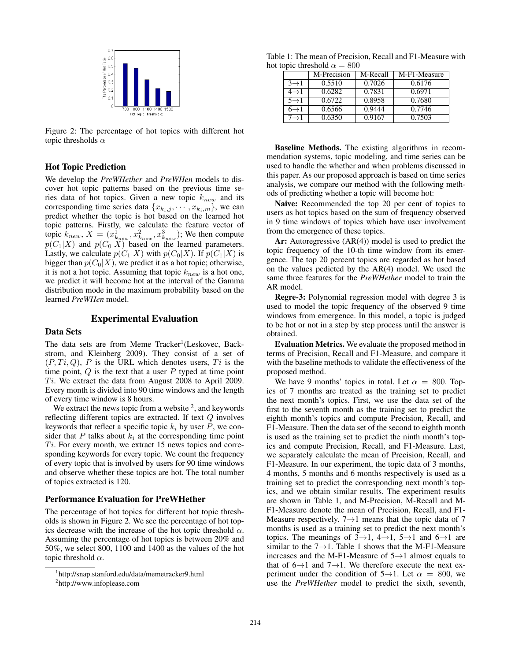

Figure 2: The percentage of hot topics with different hot topic thresholds  $\alpha$ 

#### Hot Topic Prediction

We develop the *PreWHether* and *PreWHen* models to discover hot topic patterns based on the previous time series data of hot topics. Given a new topic  $k_{new}$  and its corresponding time series data  ${x_{k_i,j}, \dots, x_{k_i,m}}$ , we can predict whether the topic is hot based on the learned hot topic patterns. Firstly, we calculate the feature vector of topic  $\hat{k}_{new}$ ,  $X = (x_{k_{new}}^1, x_{k_{new}}^2, x_{k_{new}}^3)$ ; We then compute  $p(C_1|X)$  and  $p(C_0|X)$  based on the learned parameters. Lastly, we calculate  $p(C_1|X)$  with  $p(C_0|X)$ . If  $p(C_1|X)$  is bigger than  $p(C_0|X)$ , we predict it as a hot topic; otherwise, it is not a hot topic. Assuming that topic  $k_{new}$  is a hot one, we predict it will become hot at the interval of the Gamma distribution mode in the maximum probability based on the learned *PreWHen* model.

## Experimental Evaluation

## Data Sets

The data sets are from Meme Tracker<sup>1</sup>(Leskovec, Backstrom, and Kleinberg 2009). They consist of a set of  $(P, Ti, Q)$ , P is the URL which denotes users, Ti is the time point,  $Q$  is the text that a user  $P$  typed at time point  $Ti.$  We extract the data from August 2008 to April 2009. Every month is divided into 90 time windows and the length of every time window is 8 hours.

We extract the news topic from a website  $2$ , and keywords reflecting different topics are extracted. If text Q involves keywords that reflect a specific topic  $k_i$  by user  $P$ , we consider that P talks about  $k_i$  at the corresponding time point  $Ti.$  For every month, we extract 15 news topics and corresponding keywords for every topic. We count the frequency of every topic that is involved by users for 90 time windows and observe whether these topics are hot. The total number of topics extracted is 120.

#### Performance Evaluation for PreWHether

The percentage of hot topics for different hot topic thresholds is shown in Figure 2. We see the percentage of hot topics decrease with the increase of the hot topic threshold  $\alpha$ . Assuming the percentage of hot topics is between 20% and 50%, we select 800, 1100 and 1400 as the values of the hot topic threshold  $\alpha$ .

Table 1: The mean of Precision, Recall and F1-Measure with hot topic threshold  $\alpha = 800$ 

|                   | M-Precision | M-Recall | M-F1-Measure |
|-------------------|-------------|----------|--------------|
| $3 \rightarrow 1$ | 0.5510      | 0.7026   | 0.6176       |
| $4 \rightarrow 1$ | 0.6282      | 0.7831   | 0.6971       |
| $5 \rightarrow 1$ | 0.6722      | 0.8958   | 0.7680       |
| $6 \rightarrow 1$ | 0.6566      | 0.9444   | 0.7746       |
| $7 \rightarrow 1$ | 0.6350      | 0.9167   | 0.7503       |

Baseline Methods. The existing algorithms in recommendation systems, topic modeling, and time series can be used to handle the whether and when problems discussed in this paper. As our proposed approach is based on time series analysis, we compare our method with the following methods of predicting whether a topic will become hot:

Naive: Recommended the top 20 per cent of topics to users as hot topics based on the sum of frequency observed in 9 time windows of topics which have user involvement from the emergence of these topics.

Ar: Autoregressive  $(AR(4))$  model is used to predict the topic frequency of the 10-th time window from its emergence. The top 20 percent topics are regarded as hot based on the values pedicted by the AR(4) model. We used the same three features for the *PreWHether* model to train the AR model.

Regre-3: Polynomial regression model with degree 3 is used to model the topic frequency of the observed 9 time windows from emergence. In this model, a topic is judged to be hot or not in a step by step process until the answer is obtained.

Evaluation Metrics. We evaluate the proposed method in terms of Precision, Recall and F1-Measure, and compare it with the baseline methods to validate the effectiveness of the proposed method.

We have 9 months' topics in total. Let  $\alpha = 800$ . Topics of 7 months are treated as the training set to predict the next month's topics. First, we use the data set of the first to the seventh month as the training set to predict the eighth month's topics and compute Precision, Recall, and F1-Measure. Then the data set of the second to eighth month is used as the training set to predict the ninth month's topics and compute Precision, Recall, and F1-Measure. Last, we separately calculate the mean of Precision, Recall, and F1-Measure. In our experiment, the topic data of 3 months, 4 months, 5 months and 6 months respectively is used as a training set to predict the corresponding next month's topics, and we obtain similar results. The experiment results are shown in Table 1, and M-Precision, M-Recall and M-F1-Measure denote the mean of Precision, Recall, and F1- Measure respectively.  $7 \rightarrow 1$  means that the topic data of 7 months is used as a training set to predict the next month's topics. The meanings of  $3\rightarrow 1$ ,  $4\rightarrow 1$ ,  $5\rightarrow 1$  and  $6\rightarrow 1$  are similar to the  $7 \rightarrow 1$ . Table 1 shows that the M-F1-Measure increases and the M-F1-Measure of 5→1 almost equals to that of  $6\rightarrow 1$  and  $7\rightarrow 1$ . We therefore execute the next experiment under the condition of  $5\rightarrow 1$ . Let  $\alpha = 800$ , we use the *PreWHether* model to predict the sixth, seventh,

<sup>1</sup> http://snap.stanford.edu/data/memetracker9.html

<sup>2</sup> http://www.infoplease.com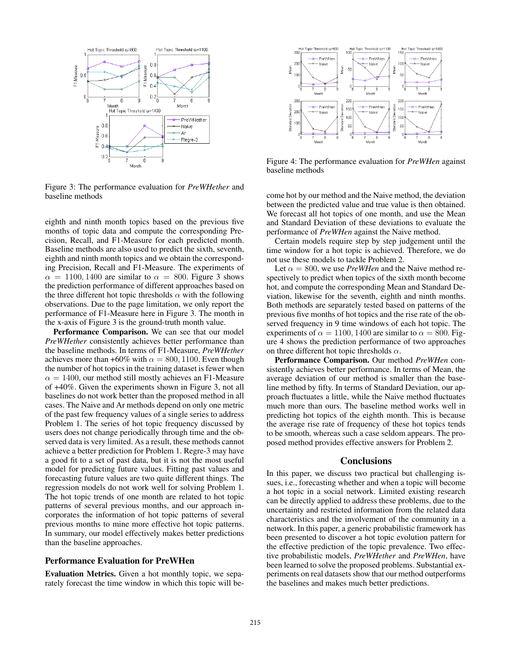

Figure 3: The performance evaluation for *PreWHether* and baseline methods

eighth and ninth month topics based on the previous five months of topic data and compute the corresponding Precision, Recall, and F1-Measure for each predicted month. Baseline methods are also used to predict the sixth, seventh, eighth and ninth month topics and we obtain the corresponding Precision, Recall and F1-Measure. The experiments of  $\alpha = 1100, 1400$  are similar to  $\alpha = 800$ . Figure 3 shows the prediction performance of different approaches based on the three different hot topic thresholds  $\alpha$  with the following observations. Due to the page limitation, we only report the performance of F1-Measure here in Figure 3. The month in the x-axis of Figure 3 is the ground-truth month value.

Performance Comparison. We can see that our model *PreWHether* consistently achieves better performance than the baseline methods. In terms of F1-Measure, *PreWHether* achieves more than +60% with  $\alpha = 800, 1100$ . Even though the number of hot topics in the training dataset is fewer when  $\alpha = 1400$ , our method still mostly achieves an F1-Measure of +40%. Given the experiments shown in Figure 3, not all baselines do not work better than the proposed method in all cases. The Naive and Ar methods depend on only one metric of the past few frequency values of a single series to address Problem 1. The series of hot topic frequency discussed by users does not change periodically through time and the observed data is very limited. As a result, these methods cannot achieve a better prediction for Problem 1. Regre-3 may have a good fit to a set of past data, but it is not the most useful model for predicting future values. Fitting past values and forecasting future values are two quite different things. The regression models do not work well for solving Problem 1. The hot topic trends of one month are related to hot topic patterns of several previous months, and our approach incorporates the information of hot topic patterns of several previous months to mine more effective hot topic patterns. In summary, our model effectively makes better predictions than the baseline approaches.

## Performance Evaluation for PreWHen

Evaluation Metrics. Given a hot monthly topic, we separately forecast the time window in which this topic will be-



Figure 4: The performance evaluation for *PreWHen* against baseline methods

come hot by our method and the Naive method, the deviation between the predicted value and true value is then obtained. We forecast all hot topics of one month, and use the Mean and Standard Deviation of these deviations to evaluate the performance of *PreWHen* against the Naive method.

Certain models require step by step judgement until the time window for a hot topic is achieved. Therefore, we do not use these models to tackle Problem 2.

Let  $\alpha = 800$ , we use *PreWHen* and the Naive method respectively to predict when topics of the sixth month become hot, and compute the corresponding Mean and Standard Deviation, likewise for the seventh, eighth and ninth months. Both methods are separately tested based on patterns of the previous five months of hot topics and the rise rate of the observed frequency in 9 time windows of each hot topic. The experiments of  $\alpha = 1100, 1400$  are similar to  $\alpha = 800$ . Figure 4 shows the prediction performance of two approaches on three different hot topic thresholds  $\alpha$ .

Performance Comparison. Our method *PreWHen* consistently achieves better performance. In terms of Mean, the average deviation of our method is smaller than the baseline method by fifty. In terms of Standard Deviation, our approach fluctuates a little, while the Naive method fluctuates much more than ours. The baseline method works well in predicting hot topics of the eighth month. This is because the average rise rate of frequency of these hot topics tends to be smooth, whereas such a case seldom appears. The proposed method provides effective answers for Problem 2.

### Conclusions

In this paper, we discuss two practical but challenging issues, i.e., forecasting whether and when a topic will become a hot topic in a social network. Limited existing research can be directly applied to address these problems, due to the uncertainty and restricted information from the related data characteristics and the involvement of the community in a network. In this paper, a generic probabilistic framework has been presented to discover a hot topic evolution pattern for the effective prediction of the topic prevalence. Two effective probabilistic models, *PreWHether* and *PreWHen*, have been learned to solve the proposed problems. Substantial experiments on real datasets show that our method outperforms the baselines and makes much better predictions.